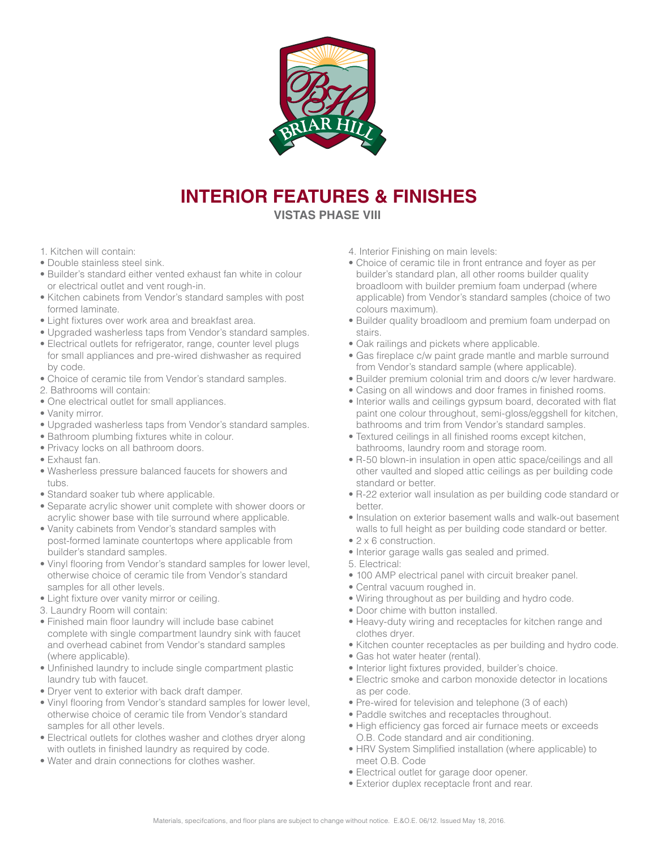

## **INTERIOR FEATURES & FINISHES VISTAS PHASE VIII**

- 1. Kitchen will contain:
- Double stainless steel sink.
- Builder's standard either vented exhaust fan white in colour or electrical outlet and vent rough-in.
- Kitchen cabinets from Vendor's standard samples with post formed laminate.
- Light fixtures over work area and breakfast area.
- Upgraded washerless taps from Vendor's standard samples.
- Electrical outlets for refrigerator, range, counter level plugs for small appliances and pre-wired dishwasher as required by code.
- Choice of ceramic tile from Vendor's standard samples.
- 2. Bathrooms will contain:
- One electrical outlet for small appliances.
- Vanity mirror.
- Upgraded washerless taps from Vendor's standard samples.
- Bathroom plumbing fixtures white in colour.
- Privacy locks on all bathroom doors.
- Exhaust fan.
- Washerless pressure balanced faucets for showers and tubs.
- Standard soaker tub where applicable.
- Separate acrylic shower unit complete with shower doors or acrylic shower base with tile surround where applicable.
- Vanity cabinets from Vendor's standard samples with post-formed laminate countertops where applicable from builder's standard samples.
- Vinyl flooring from Vendor's standard samples for lower level, otherwise choice of ceramic tile from Vendor's standard samples for all other levels.
- Light fixture over vanity mirror or ceiling.
- 3. Laundry Room will contain:
- Finished main floor laundry will include base cabinet complete with single compartment laundry sink with faucet and overhead cabinet from Vendor's standard samples (where applicable).
- Unfinished laundry to include single compartment plastic laundry tub with faucet.
- Dryer vent to exterior with back draft damper.
- Vinyl flooring from Vendor's standard samples for lower level, otherwise choice of ceramic tile from Vendor's standard samples for all other levels.
- Electrical outlets for clothes washer and clothes dryer along with outlets in finished laundry as required by code.
- Water and drain connections for clothes washer.
- 4. Interior Finishing on main levels:
- Choice of ceramic tile in front entrance and foyer as per builder's standard plan, all other rooms builder quality broadloom with builder premium foam underpad (where applicable) from Vendor's standard samples (choice of two colours maximum).
- Builder quality broadloom and premium foam underpad on stairs.
- Oak railings and pickets where applicable.
- Gas fireplace c/w paint grade mantle and marble surround from Vendor's standard sample (where applicable).
- Builder premium colonial trim and doors c/w lever hardware.
- Casing on all windows and door frames in finished rooms.
- Interior walls and ceilings gypsum board, decorated with flat paint one colour throughout, semi-gloss/eggshell for kitchen, bathrooms and trim from Vendor's standard samples.
- Textured ceilings in all finished rooms except kitchen, bathrooms, laundry room and storage room.
- R-50 blown-in insulation in open attic space/ceilings and all other vaulted and sloped attic ceilings as per building code standard or better.
- R-22 exterior wall insulation as per building code standard or better.
- Insulation on exterior basement walls and walk-out basement walls to full height as per building code standard or better.
- 2 x 6 construction.
- Interior garage walls gas sealed and primed.
- 5. Electrical:
- 100 AMP electrical panel with circuit breaker panel.
- Central vacuum roughed in.
- Wiring throughout as per building and hydro code.
- Door chime with button installed.
- Heavy-duty wiring and receptacles for kitchen range and clothes dryer.
- Kitchen counter receptacles as per building and hydro code.
- Gas hot water heater (rental).
- Interior light fixtures provided, builder's choice.
- Electric smoke and carbon monoxide detector in locations as per code.
- Pre-wired for television and telephone (3 of each)
- Paddle switches and receptacles throughout.
- High efficiency gas forced air furnace meets or exceeds O.B. Code standard and air conditioning.
- HRV System Simplified installation (where applicable) to meet O.B. Code
- Electrical outlet for garage door opener.
- Exterior duplex receptacle front and rear.